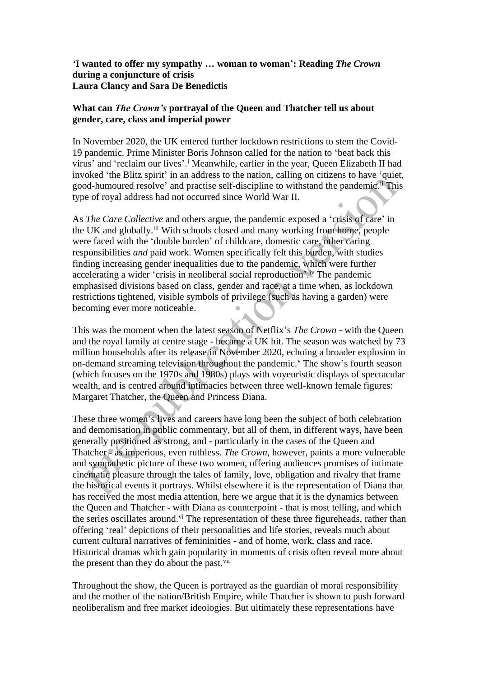## *'***I wanted to offer my sympathy … woman to woman': Reading** *The Crown*  **during a conjuncture of crisis Laura Clancy and Sara De Benedictis**

# **What can** *The Crown's* **portrayal of the Queen and Thatcher tell us about gender, care, class and imperial power**

In November 2020, the UK entered further lockdown restrictions to stem the Covid-19 pandemic. Prime Minister Boris Johnson called for the nation to 'beat back this virus' and 'reclaim our lives'. <sup>i</sup> Meanwhile, earlier in the year, Queen Elizabeth II had invoked 'the Blitz spirit' in an address to the nation, calling on citizens to have 'quiet, good-humoured resolve' and practise self-discipline to withstand the pandemic.ii This type of royal address had not occurred since World War II.

As *The Care Collective* and others argue, the pandemic exposed a 'crisis of care' in the UK and globally.iii With schools closed and many working from home, people were faced with the 'double burden' of childcare, domestic care, other caring responsibilities *and* paid work. Women specifically felt this burden, with studies finding increasing gender inequalities due to the pandemic, which were further accelerating a wider 'crisis in neoliberal social reproduction'. iv The pandemic emphasised divisions based on class, gender and race, at a time when, as lockdown restrictions tightened, visible symbols of privilege (such as having a garden) were becoming ever more noticeable.

This was the moment when the latest season of Netflix's *The Crown* - with the Queen and the royal family at centre stage - became a UK hit. The season was watched by 73 million households after its release in November 2020, echoing a broader explosion in on-demand streaming television throughout the pandemic.<sup>v</sup> The show's fourth season (which focuses on the 1970s and 1980s) plays with voyeuristic displays of spectacular wealth, and is centred around intimacies between three well-known female figures: Margaret Thatcher, the Queen and Princess Diana.

These three women's lives and careers have long been the subject of both celebration and demonisation in public commentary, but all of them, in different ways, have been generally positioned as strong, and - particularly in the cases of the Queen and Thatcher - as imperious, even ruthless. *The Crown*, however, paints a more vulnerable and sympathetic picture of these two women, offering audiences promises of intimate cinematic pleasure through the tales of family, love, obligation and rivalry that frame the historical events it portrays. Whilst elsewhere it is the representation of Diana that has received the most media attention, here we argue that it is the dynamics between the Queen and Thatcher - with Diana as counterpoint - that is most telling, and which the series oscillates around.<sup>vi</sup> The representation of these three figureheads, rather than offering 'real' depictions of their personalities and life stories, reveals much about current cultural narratives of femininities - and of home, work, class and race. Historical dramas which gain popularity in moments of crisis often reveal more about the present than they do about the past.<sup>vii</sup>

Throughout the show, the Queen is portrayed as the guardian of moral responsibility and the mother of the nation/British Empire, while Thatcher is shown to push forward neoliberalism and free market ideologies. But ultimately these representations have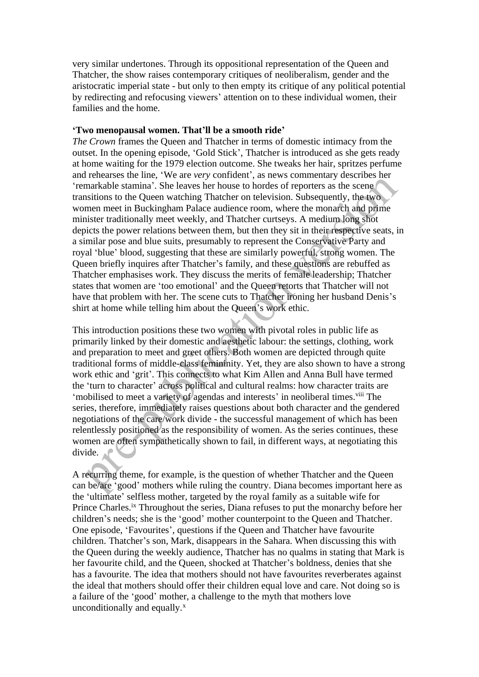very similar undertones. Through its oppositional representation of the Queen and Thatcher, the show raises contemporary critiques of neoliberalism, gender and the aristocratic imperial state - but only to then empty its critique of any political potential by redirecting and refocusing viewers' attention on to these individual women, their families and the home.

### **'Two menopausal women. That'll be a smooth ride'**

*The Crown* frames the Queen and Thatcher in terms of domestic intimacy from the outset. In the opening episode, 'Gold Stick', Thatcher is introduced as she gets ready at home waiting for the 1979 election outcome. She tweaks her hair, spritzes perfume and rehearses the line, 'We are *very* confident', as news commentary describes her 'remarkable stamina'. She leaves her house to hordes of reporters as the scene transitions to the Queen watching Thatcher on television. Subsequently, the two women meet in Buckingham Palace audience room, where the monarch and prime minister traditionally meet weekly, and Thatcher curtseys. A medium long shot depicts the power relations between them, but then they sit in their respective seats, in a similar pose and blue suits, presumably to represent the Conservative Party and royal 'blue' blood, suggesting that these are similarly powerful, strong women. The Queen briefly inquires after Thatcher's family, and these questions are rebuffed as Thatcher emphasises work. They discuss the merits of female leadership; Thatcher states that women are 'too emotional' and the Queen retorts that Thatcher will not have that problem with her. The scene cuts to Thatcher ironing her husband Denis's shirt at home while telling him about the Queen's work ethic.

This introduction positions these two women with pivotal roles in public life as primarily linked by their domestic and aesthetic labour: the settings, clothing, work and preparation to meet and greet others. Both women are depicted through quite traditional forms of middle-class femininity. Yet, they are also shown to have a strong work ethic and 'grit'. This connects to what Kim Allen and Anna Bull have termed the 'turn to character' across political and cultural realms: how character traits are 'mobilised to meet a variety of agendas and interests' in neoliberal times.<sup>viii</sup> The series, therefore, immediately raises questions about both character and the gendered negotiations of the care/work divide - the successful management of which has been relentlessly positioned as the responsibility of women. As the series continues, these women are often sympathetically shown to fail, in different ways, at negotiating this divide.

A recurring theme, for example, is the question of whether Thatcher and the Queen can be/are 'good' mothers while ruling the country. Diana becomes important here as the 'ultimate' selfless mother, targeted by the royal family as a suitable wife for Prince Charles.<sup>ix</sup> Throughout the series, Diana refuses to put the monarchy before her children's needs; she is the 'good' mother counterpoint to the Queen and Thatcher. One episode, 'Favourites', questions if the Queen and Thatcher have favourite children. Thatcher's son, Mark, disappears in the Sahara. When discussing this with the Queen during the weekly audience, Thatcher has no qualms in stating that Mark is her favourite child, and the Queen, shocked at Thatcher's boldness, denies that she has a favourite. The idea that mothers should not have favourites reverberates against the ideal that mothers should offer their children equal love and care. Not doing so is a failure of the 'good' mother, a challenge to the myth that mothers love unconditionally and equally. $x$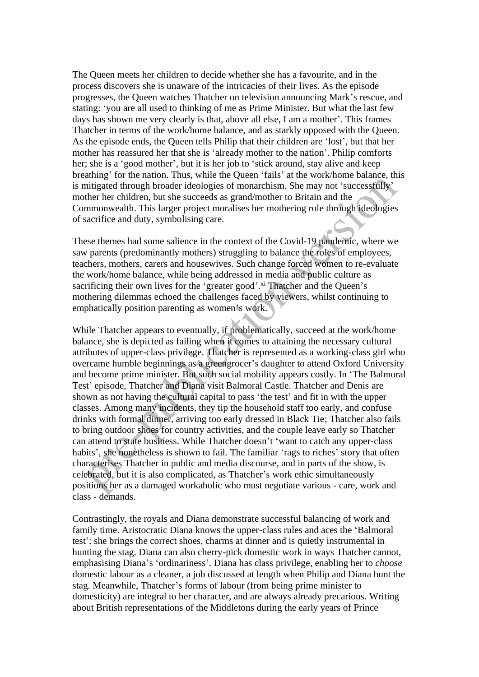The Queen meets her children to decide whether she has a favourite, and in the process discovers she is unaware of the intricacies of their lives. As the episode progresses, the Queen watches Thatcher on television announcing Mark's rescue, and stating: 'you are all used to thinking of me as Prime Minister. But what the last few days has shown me very clearly is that, above all else, I am a mother'. This frames Thatcher in terms of the work/home balance, and as starkly opposed with the Queen. As the episode ends, the Queen tells Philip that their children are 'lost', but that her mother has reassured her that she is 'already mother to the nation'. Philip comforts her; she is a 'good mother', but it is her job to 'stick around, stay alive and keep breathing' for the nation. Thus, while the Queen 'fails' at the work/home balance, this is mitigated through broader ideologies of monarchism. She may not 'successfully' mother her children, but she succeeds as grand/mother to Britain and the Commonwealth. This larger project moralises her mothering role through ideologies of sacrifice and duty, symbolising care.

These themes had some salience in the context of the Covid-19 pandemic, where we saw parents (predominantly mothers) struggling to balance the roles of employees, teachers, mothers, carers and housewives. Such change forced women to re-evaluate the work/home balance, while being addressed in media and public culture as sacrificing their own lives for the 'greater good'.<sup>xi</sup> Thatcher and the Queen's mothering dilemmas echoed the challenges faced by viewers, whilst continuing to emphatically position parenting as women's work.

While Thatcher appears to eventually, if problematically, succeed at the work/home balance, she is depicted as failing when it comes to attaining the necessary cultural attributes of upper-class privilege. Thatcher is represented as a working-class girl who overcame humble beginnings as a greengrocer's daughter to attend Oxford University and become prime minister. But such social mobility appears costly. In 'The Balmoral Test' episode, Thatcher and Diana visit Balmoral Castle. Thatcher and Denis are shown as not having the cultural capital to pass 'the test' and fit in with the upper classes. Among many incidents, they tip the household staff too early, and confuse drinks with formal dinner, arriving too early dressed in Black Tie; Thatcher also fails to bring outdoor shoes for country activities, and the couple leave early so Thatcher can attend to state business. While Thatcher doesn't 'want to catch any upper-class habits', she nonetheless is shown to fail. The familiar 'rags to riches' story that often characterises Thatcher in public and media discourse, and in parts of the show, is celebrated, but it is also complicated, as Thatcher's work ethic simultaneously positions her as a damaged workaholic who must negotiate various - care, work and class - demands.

Contrastingly, the royals and Diana demonstrate successful balancing of work and family time. Aristocratic Diana knows the upper-class rules and aces the 'Balmoral test': she brings the correct shoes, charms at dinner and is quietly instrumental in hunting the stag. Diana can also cherry-pick domestic work in ways Thatcher cannot, emphasising Diana's 'ordinariness'. Diana has class privilege, enabling her to *choose*  domestic labour as a cleaner, a job discussed at length when Philip and Diana hunt the stag. Meanwhile, Thatcher's forms of labour (from being prime minister to domesticity) are integral to her character, and are always already precarious. Writing about British representations of the Middletons during the early years of Prince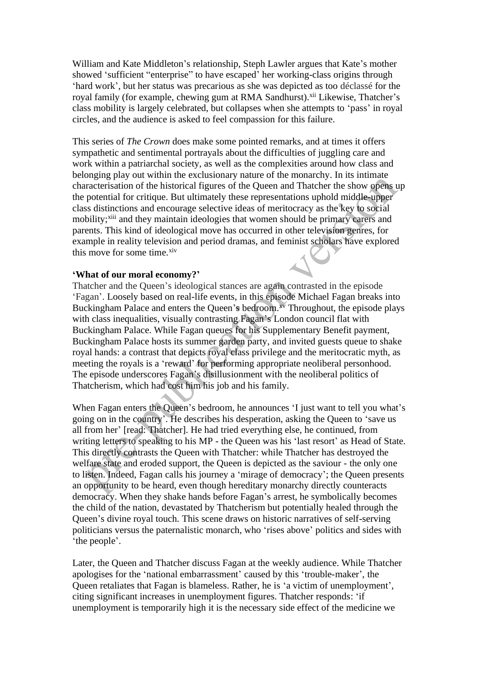William and Kate Middleton's relationship, Steph Lawler argues that Kate's mother showed 'sufficient "enterprise" to have escaped' her working-class origins through 'hard work', but her status was precarious as she was depicted as too déclassé for the royal family (for example, chewing gum at RMA Sandhurst).<sup>xii</sup> Likewise, Thatcher's class mobility is largely celebrated, but collapses when she attempts to 'pass' in royal circles, and the audience is asked to feel compassion for this failure.

This series of *The Crown* does make some pointed remarks, and at times it offers sympathetic and sentimental portrayals about the difficulties of juggling care and work within a patriarchal society, as well as the complexities around how class and belonging play out within the exclusionary nature of the monarchy. In its intimate characterisation of the historical figures of the Queen and Thatcher the show opens up the potential for critique. But ultimately these representations uphold middle-upper class distinctions and encourage selective ideas of meritocracy as the key to social mobility;<sup>xiii</sup> and they maintain ideologies that women should be primary carers and parents. This kind of ideological move has occurred in other television genres, for example in reality television and period dramas, and feminist scholars have explored this move for some time. $x$ iv

#### **'What of our moral economy?'**

Thatcher and the Queen's ideological stances are again contrasted in the episode 'Fagan'. Loosely based on real-life events, in this episode Michael Fagan breaks into Buckingham Palace and enters the Queen's bedroom.<sup>xv</sup> Throughout, the episode plays with class inequalities, visually contrasting Fagan's London council flat with Buckingham Palace. While Fagan queues for his Supplementary Benefit payment, Buckingham Palace hosts its summer garden party, and invited guests queue to shake royal hands: a contrast that depicts royal class privilege and the meritocratic myth, as meeting the royals is a 'reward' for performing appropriate neoliberal personhood. The episode underscores Fagan's disillusionment with the neoliberal politics of Thatcherism, which had cost him his job and his family.

When Fagan enters the Queen's bedroom, he announces 'I just want to tell you what's going on in the country'. He describes his desperation, asking the Queen to 'save us all from her' [read: Thatcher]. He had tried everything else, he continued, from writing letters to speaking to his MP - the Queen was his 'last resort' as Head of State. This directly contrasts the Queen with Thatcher: while Thatcher has destroyed the welfare state and eroded support, the Queen is depicted as the saviour - the only one to listen. Indeed, Fagan calls his journey a 'mirage of democracy'; the Queen presents an opportunity to be heard, even though hereditary monarchy directly counteracts democracy. When they shake hands before Fagan's arrest, he symbolically becomes the child of the nation, devastated by Thatcherism but potentially healed through the Queen's divine royal touch. This scene draws on historic narratives of self-serving politicians versus the paternalistic monarch, who 'rises above' politics and sides with 'the people'.

Later, the Queen and Thatcher discuss Fagan at the weekly audience. While Thatcher apologises for the 'national embarrassment' caused by this 'trouble-maker', the Queen retaliates that Fagan is blameless. Rather, he is 'a victim of unemployment', citing significant increases in unemployment figures. Thatcher responds: 'if unemployment is temporarily high it is the necessary side effect of the medicine we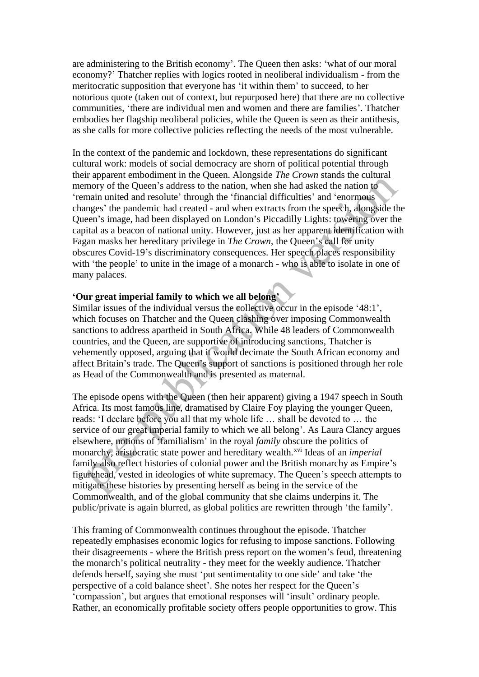are administering to the British economy'. The Queen then asks: 'what of our moral economy?' Thatcher replies with logics rooted in neoliberal individualism - from the meritocratic supposition that everyone has 'it within them' to succeed, to her notorious quote (taken out of context, but repurposed here) that there are no collective communities, 'there are individual men and women and there are families'. Thatcher embodies her flagship neoliberal policies, while the Queen is seen as their antithesis, as she calls for more collective policies reflecting the needs of the most vulnerable.

In the context of the pandemic and lockdown, these representations do significant cultural work: models of social democracy are shorn of political potential through their apparent embodiment in the Queen. Alongside *The Crown* stands the cultural memory of the Queen's address to the nation, when she had asked the nation to 'remain united and resolute' through the 'financial difficulties' and 'enormous changes' the pandemic had created - and when extracts from the speech, alongside the Queen's image, had been displayed on London's Piccadilly Lights: towering over the capital as a beacon of national unity. However, just as her apparent identification with Fagan masks her hereditary privilege in *The Crown*, the Queen's call for unity obscures Covid-19's discriminatory consequences. Her speech places responsibility with 'the people' to unite in the image of a monarch - who is able to isolate in one of many palaces.

#### **'Our great imperial family to which we all belong'**

Similar issues of the individual versus the collective occur in the episode '48:1', which focuses on Thatcher and the Queen clashing over imposing Commonwealth sanctions to address apartheid in South Africa. While 48 leaders of Commonwealth countries, and the Queen, are supportive of introducing sanctions, Thatcher is vehemently opposed, arguing that it would decimate the South African economy and affect Britain's trade. The Queen's support of sanctions is positioned through her role as Head of the Commonwealth and is presented as maternal.

The episode opens with the Queen (then heir apparent) giving a 1947 speech in South Africa. Its most famous line, dramatised by Claire Foy playing the younger Queen*,*  reads: 'I declare before you all that my whole life … shall be devoted to … the service of our great imperial family to which we all belong'. As Laura Clancy argues elsewhere, notions of 'familialism' in the royal *family* obscure the politics of monarchy, aristocratic state power and hereditary wealth.<sup>xvi</sup> Ideas of an *imperial* family also reflect histories of colonial power and the British monarchy as Empire's figurehead, vested in ideologies of white supremacy. The Queen's speech attempts to mitigate these histories by presenting herself as being in the service of the Commonwealth, and of the global community that she claims underpins it. The public/private is again blurred, as global politics are rewritten through 'the family'.

This framing of Commonwealth continues throughout the episode. Thatcher repeatedly emphasises economic logics for refusing to impose sanctions. Following their disagreements - where the British press report on the women's feud, threatening the monarch's political neutrality - they meet for the weekly audience. Thatcher defends herself, saying she must 'put sentimentality to one side' and take 'the perspective of a cold balance sheet'. She notes her respect for the Queen's 'compassion', but argues that emotional responses will 'insult' ordinary people. Rather, an economically profitable society offers people opportunities to grow. This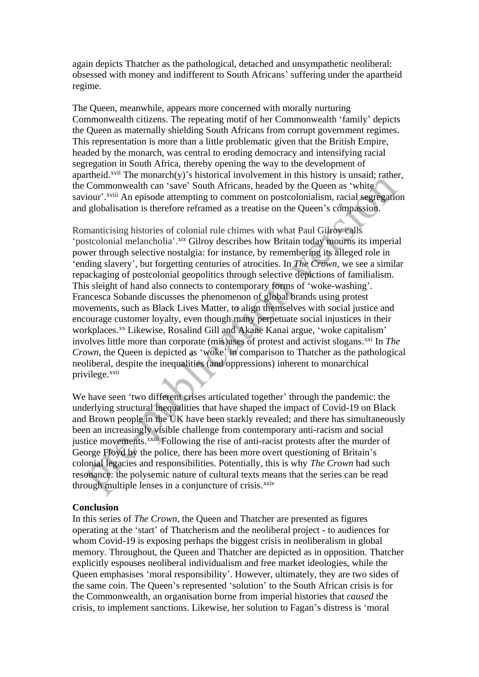again depicts Thatcher as the pathological, detached and unsympathetic neoliberal: obsessed with money and indifferent to South Africans' suffering under the apartheid regime.

The Queen, meanwhile, appears more concerned with morally nurturing Commonwealth citizens. The repeating motif of her Commonwealth 'family' depicts the Queen as maternally shielding South Africans from corrupt government regimes. This representation is more than a little problematic given that the British Empire, headed by the monarch, was central to eroding democracy and intensifying racial segregation in South Africa, thereby opening the way to the development of apartheid.<sup>xvii</sup> The monarch(y)'s historical involvement in this history is unsaid; rather, the Commonwealth can 'save' South Africans, headed by the Queen as 'white saviour'.<sup>xviii</sup> An episode attempting to comment on postcolonialism, racial segregation and globalisation is therefore reframed as a treatise on the Queen's compassion.

Romanticising histories of colonial rule chimes with what Paul Gilroy calls 'postcolonial melancholia'. xix Gilroy describes how Britain today mourns its imperial power through selective nostalgia: for instance, by remembering its alleged role in 'ending slavery', but forgetting centuries of atrocities. In *The Crown*, we see a similar repackaging of postcolonial geopolitics through selective depictions of familialism. This sleight of hand also connects to contemporary forms of 'woke-washing'. Francesca Sobande discusses the phenomenon of global brands using protest movements, such as Black Lives Matter, to align themselves with social justice and encourage customer loyalty, even though many perpetuate social injustices in their workplaces.<sup>xx</sup> Likewise, Rosalind Gill and Akane Kanai argue, 'woke capitalism' involves little more than corporate (mis)uses of protest and activist slogans.<sup>xxi</sup> In *The Crown*, the Queen is depicted as 'woke' in comparison to Thatcher as the pathological neoliberal, despite the inequalities (and oppressions) inherent to monarchical privilege.<sup>xxii</sup>

We have seen 'two different crises articulated together' through the pandemic: the underlying structural inequalities that have shaped the impact of Covid-19 on Black and Brown people in the UK have been starkly revealed; and there has simultaneously been an increasingly visible challenge from contemporary anti-racism and social justice movements.<sup>xxiii</sup> Following the rise of anti-racist protests after the murder of George Floyd by the police, there has been more overt questioning of Britain's colonial legacies and responsibilities. Potentially, this is why *The Crown* had such resonance: the polysemic nature of cultural texts means that the series can be read through multiple lenses in a conjuncture of crisis.<sup>xxiv</sup>

#### **Conclusion**

In this series of *The Crown*, the Queen and Thatcher are presented as figures operating at the 'start' of Thatcherism and the neoliberal project - to audiences for whom Covid-19 is exposing perhaps the biggest crisis in neoliberalism in global memory. Throughout, the Queen and Thatcher are depicted as in opposition. Thatcher explicitly espouses neoliberal individualism and free market ideologies, while the Queen emphasises 'moral responsibility'. However, ultimately, they are two sides of the same coin. The Queen's represented 'solution' to the South African crisis is for the Commonwealth, an organisation borne from imperial histories that *caused* the crisis, to implement sanctions. Likewise, her solution to Fagan's distress is 'moral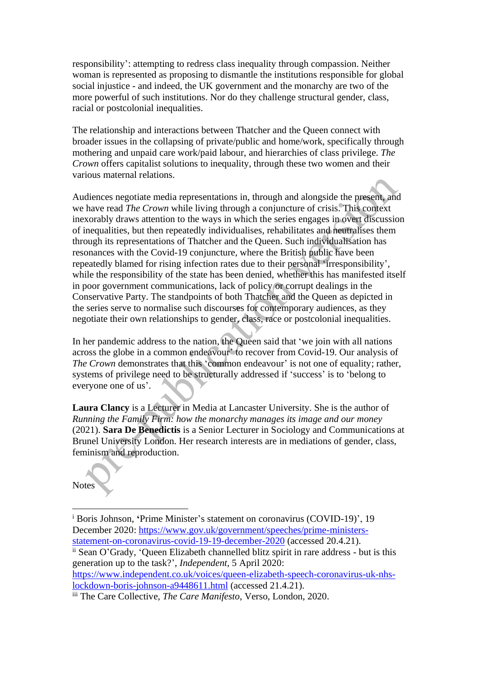responsibility': attempting to redress class inequality through compassion. Neither woman is represented as proposing to dismantle the institutions responsible for global social injustice - and indeed, the UK government and the monarchy are two of the more powerful of such institutions. Nor do they challenge structural gender, class, racial or postcolonial inequalities.

The relationship and interactions between Thatcher and the Queen connect with broader issues in the collapsing of private/public and home/work, specifically through mothering and unpaid care work/paid labour, and hierarchies of class privilege. *The Crown* offers capitalist solutions to inequality, through these two women and their various maternal relations.

Audiences negotiate media representations in, through and alongside the present, and we have read *The Crown* while living through a conjuncture of crisis. This context inexorably draws attention to the ways in which the series engages in overt discussion of inequalities, but then repeatedly individualises, rehabilitates and neutralises them through its representations of Thatcher and the Queen. Such individualisation has resonances with the Covid-19 conjuncture, where the British public have been repeatedly blamed for rising infection rates due to their personal 'irresponsibility', while the responsibility of the state has been denied, whether this has manifested itself in poor government communications, lack of policy or corrupt dealings in the Conservative Party. The standpoints of both Thatcher and the Queen as depicted in the series serve to normalise such discourses for contemporary audiences, as they negotiate their own relationships to gender, class, race or postcolonial inequalities.

In her pandemic address to the nation, the Queen said that 'we join with all nations across the globe in a common endeavour' to recover from Covid-19. Our analysis of *The Crown* demonstrates that this 'common endeavour' is not one of equality; rather, systems of privilege need to be structurally addressed if 'success' is to 'belong to everyone one of us'.

**Laura Clancy** is a Lecturer in Media at Lancaster University. She is the author of *Running the Family Firm: how the monarchy manages its image and our money* (2021). **Sara De Benedictis** is a Senior Lecturer in Sociology and Communications at Brunel University London. Her research interests are in mediations of gender, class, feminism and reproduction.

**Notes** 

[https://www.independent.co.uk/voices/queen-elizabeth-speech-coronavirus-uk-nhs](https://www.independent.co.uk/voices/queen-elizabeth-speech-coronavirus-uk-nhs-lockdown-boris-johnson-a9448611.html)[lockdown-boris-johnson-a9448611.html](https://www.independent.co.uk/voices/queen-elizabeth-speech-coronavirus-uk-nhs-lockdown-boris-johnson-a9448611.html) (accessed 21.4.21).

<sup>i</sup> Boris Johnson, **'**Prime Minister's statement on coronavirus (COVID-19)', 19 December 2020: [https://www.gov.uk/government/speeches/prime-ministers](https://www.gov.uk/government/speeches/prime-ministers-statement-on-coronavirus-covid-19-19-december-2020)[statement-on-coronavirus-covid-19-19-december-2020](https://www.gov.uk/government/speeches/prime-ministers-statement-on-coronavirus-covid-19-19-december-2020) (accessed 20.4.21).

ii Sean O'Grady, 'Queen Elizabeth channelled blitz spirit in rare address - but is this generation up to the task?', *Independent*, 5 April 2020:

iii The Care Collective, *The Care Manifesto*, Verso, London, 2020.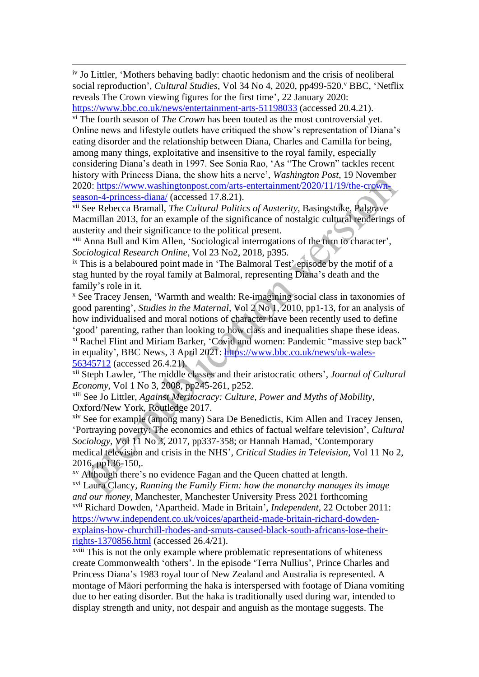iv Jo Littler, 'Mothers behaving badly: chaotic hedonism and the crisis of neoliberal social reproduction', *Cultural Studies*, Vol 34 No 4, 2020, pp499-520.<sup>v</sup> BBC, 'Netflix reveals The Crown viewing figures for the first time', 22 January 2020:

vi The fourth season of *The Crown* has been touted as the most controversial yet. Online news and lifestyle outlets have critiqued the show's representation of Diana's eating disorder and the relationship between Diana, Charles and Camilla for being, among many things, exploitative and insensitive to the royal family, especially considering Diana's death in 1997. See Sonia Rao, 'As "The Crown" tackles recent history with Princess Diana, the show hits a nerve', *Washington Post*, 19 November 2020: [https://www.washingtonpost.com/arts-entertainment/2020/11/19/the-crown](https://www.washingtonpost.com/arts-entertainment/2020/11/19/the-crown-season-4-princess-diana/)[season-4-princess-diana/](https://www.washingtonpost.com/arts-entertainment/2020/11/19/the-crown-season-4-princess-diana/) (accessed 17.8.21).

vii See Rebecca Bramall, *The Cultural Politics of Austerity*, Basingstoke, Palgrave Macmillan 2013, for an example of the significance of nostalgic cultural renderings of austerity and their significance to the political present.

viii Anna Bull and Kim Allen, 'Sociological interrogations of the turn to character', *Sociological Research Online*, Vol 23 No2, 2018, p395.

ix This is a belaboured point made in 'The Balmoral Test' episode by the motif of a stag hunted by the royal family at Balmoral, representing Diana's death and the family's role in it.

<sup>x</sup> See Tracey Jensen, 'Warmth and wealth: Re-imagining social class in taxonomies of good parenting', *Studies in the Maternal*, Vol 2 No 1, 2010, pp1-13, for an analysis of how individualised and moral notions of character have been recently used to define 'good' parenting, rather than looking to how class and inequalities shape these ideas. xi Rachel Flint and Miriam Barker, 'Covid and women: Pandemic "massive step back" in equality', BBC News, 3 April 2021: [https://www.bbc.co.uk/news/uk-wales-](https://www.bbc.co.uk/news/uk-wales-56345712)[56345712](https://www.bbc.co.uk/news/uk-wales-56345712) (accessed 26.4.21).

xii Steph Lawler, 'The middle classes and their aristocratic others', *Journal of Cultural Economy*, Vol 1 No 3, 2008, pp245-261, p252.

xiii See Jo Littler, *Against Meritocracy: Culture, Power and Myths of Mobility,*  Oxford/New York, Routledge 2017.

xiv See for example (among many) Sara De Benedictis, Kim Allen and Tracey Jensen, 'Portraying poverty: The economics and ethics of factual welfare television', *Cultural Sociology*, Vol 11 No 3, 2017, pp337-358; or Hannah Hamad, 'Contemporary medical television and crisis in the NHS', *Critical Studies in Television*, Vol 11 No 2, 2016, pp136-150,.

xv Although there's no evidence Fagan and the Queen chatted at length.

xvi Laura Clancy, *Running the Family Firm: how the monarchy manages its image and our money*, Manchester, Manchester University Press 2021 forthcoming xvii Richard Dowden, 'Apartheid. Made in Britain', *Independent*, 22 October 2011: [https://www.independent.co.uk/voices/apartheid-made-britain-richard-dowden](https://www.independent.co.uk/voices/apartheid-made-britain-richard-dowden-explains-how-churchill-rhodes-and-smuts-caused-black-south-africans-lose-their-rights-1370856.html)[explains-how-churchill-rhodes-and-smuts-caused-black-south-africans-lose-their](https://www.independent.co.uk/voices/apartheid-made-britain-richard-dowden-explains-how-churchill-rhodes-and-smuts-caused-black-south-africans-lose-their-rights-1370856.html)[rights-1370856.html](https://www.independent.co.uk/voices/apartheid-made-britain-richard-dowden-explains-how-churchill-rhodes-and-smuts-caused-black-south-africans-lose-their-rights-1370856.html) (accessed 26.4/21).

xviii This is not the only example where problematic representations of whiteness create Commonwealth 'others'. In the episode 'Terra Nullius', Prince Charles and Princess Diana's 1983 royal tour of New Zealand and Australia is represented. A montage of Māori performing the haka is interspersed with footage of Diana vomiting due to her eating disorder. But the haka is traditionally used during war, intended to display strength and unity, not despair and anguish as the montage suggests. The

<https://www.bbc.co.uk/news/entertainment-arts-51198033> (accessed 20.4.21).